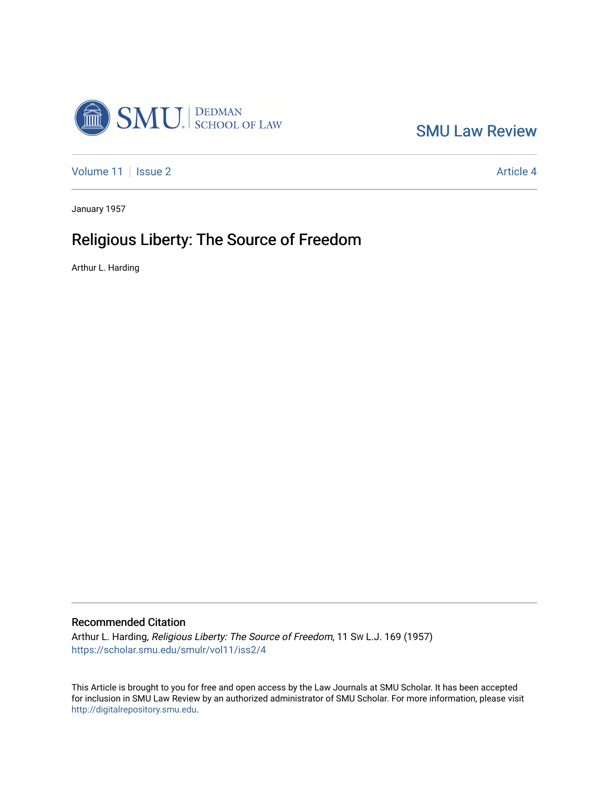

[SMU Law Review](https://scholar.smu.edu/smulr) 

[Volume 11](https://scholar.smu.edu/smulr/vol11) | [Issue 2](https://scholar.smu.edu/smulr/vol11/iss2) Article 4

January 1957

# Religious Liberty: The Source of Freedom

Arthur L. Harding

# Recommended Citation

Arthur L. Harding, Religious Liberty: The Source of Freedom, 11 SW L.J. 169 (1957) [https://scholar.smu.edu/smulr/vol11/iss2/4](https://scholar.smu.edu/smulr/vol11/iss2/4?utm_source=scholar.smu.edu%2Fsmulr%2Fvol11%2Fiss2%2F4&utm_medium=PDF&utm_campaign=PDFCoverPages) 

This Article is brought to you for free and open access by the Law Journals at SMU Scholar. It has been accepted for inclusion in SMU Law Review by an authorized administrator of SMU Scholar. For more information, please visit [http://digitalrepository.smu.edu.](http://digitalrepository.smu.edu/)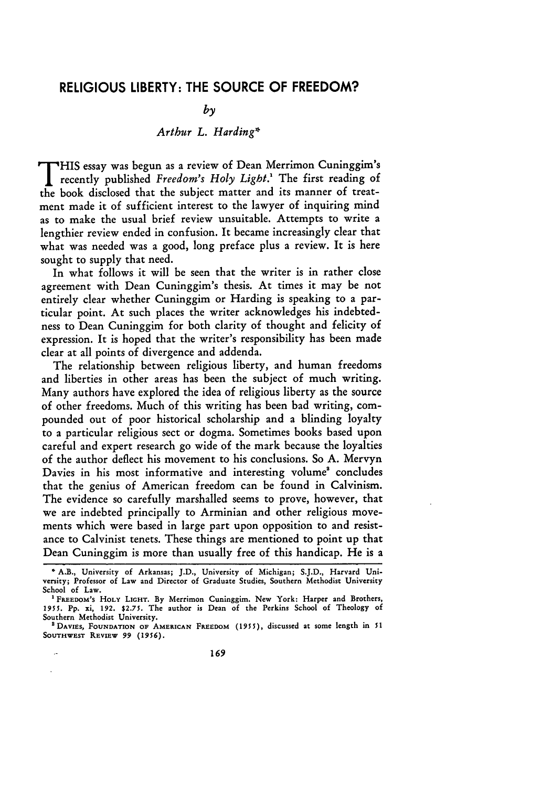## **RELIGIOUS** LIBERTY: THE **SOURCE** OF FREEDOM?

## *by*

# *Arthur L. Harding\**

T HIS essay was begun as a review of Dean Merrimon Cuninggim's recently published *Freedom's Holy Light.'* The first reading of the book disclosed that the subject matter and its manner of treatment made it of sufficient interest to the lawyer of inquiring mind as to make the usual brief review unsuitable. Attempts to write a lengthier review ended in confusion. It became increasingly clear that what was needed was a good, long preface plus a review. It is here sought to supply that need.

In what follows it will be seen that the writer is in rather close agreement with Dean Cuninggim's thesis. At times it may be not entirely clear whether Cuninggim or Harding is speaking to a particular point. At such places the writer acknowledges his indebtedness to Dean Cuninggim for both clarity of thought and felicity of expression. It is hoped that the writer's responsibility has been made clear at all points of divergence and addenda.

The relationship between religious liberty, and human freedoms and liberties in other areas has been the subject of much writing. Many authors have explored the idea of religious liberty as the source of other freedoms. Much of this writing has been bad writing, compounded out of poor historical scholarship and a blinding loyalty to a particular religious sect or dogma. Sometimes books based upon careful and expert research go wide of the mark because the loyalties of the author deflect his movement to his conclusions. So **A.** Mervyn Davies in his most informative and interesting volume' concludes that the genius of American freedom can be found in Calvinism. The evidence so carefully marshalled seems to prove, however, that we are indebted principally to Arminian and other religious movements which were based in large part upon opposition to and resistance to Calvinist tenets. These things are mentioned to point up that Dean Cuninggim is more than usually free of this handicap. He is a

t,

<sup>\*</sup>A.B., University of Arkansas; **J.D.,** University of Michigan; **S.J.D.,** Harvard University; Professor of Law and Director of Graduate Studies, Southern Methodist University School of Law.

FREEDOM's HOLY LIGHT. By Merrimon Cuninggim. New York: Harper and Brothers *1951.* **Pp.** xi, **192.** \$2.75. The author is Dean of the Perkins School of Theology of Southern Methodist University.

**<sup>&#</sup>x27;DAVIES, FOUNDATION OF AMERICAN FREEDOM (195 5),** discussed at some length in **51 SOUTHWEST REVIEW 99** *(1956).*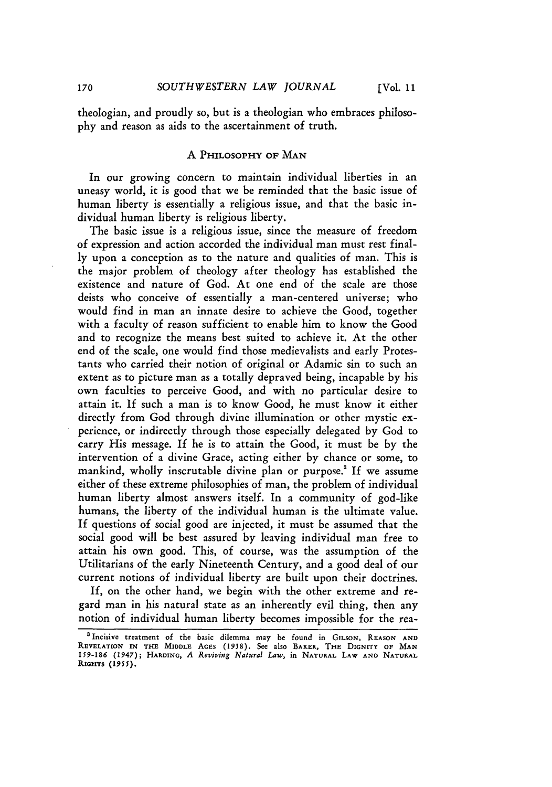theologian, and proudly so, but is a theologian who embraces philosophy and reason as aids to the ascertainment of truth.

#### **A PHILOSOPHY OF MAN**

In our growing concern to maintain individual liberties in an uneasy world, it is good that we be reminded that the basic issue of human liberty is essentially a religious issue, and that the basic individual human liberty is religious liberty.

The basic issue is a religious issue, since the measure of freedom of expression and action accorded the individual man must rest finally upon a conception as to the nature and qualities of man. This is the major problem of theology after theology has established the existence and nature of God. At one end of the scale are those deists who conceive of essentially a man-centered universe; who would find in man an innate desire to achieve the Good, together with a faculty of reason sufficient to enable him to know the Good and to recognize the means best suited to achieve it. At the other end of the scale, one would find those medievalists and early Protestants who carried their notion of original or Adamic sin to such an extent as to picture man as a totally depraved being, incapable by his own faculties to perceive Good, and with no particular desire to attain it. If such a man is to know Good, he must know it either directly from God through divine illumination or other mystic experience, or indirectly through those especially delegated by God to carry His message. If he is to attain the Good, it must be by the intervention of a divine Grace, acting either by chance or some, to mankind, wholly inscrutable divine plan or purpose.<sup>3</sup> If we assume either of these extreme philosophies of man, the problem of individual human liberty almost answers itself. In a community of god-like humans, the liberty of the individual human is the ultimate value. If questions of social good are injected, it must be assumed that the social good will be best assured by leaving individual man free to attain his own good. This, of course, was the assumption of the Utilitarians of the early Nineteenth Century, and a good deal of our current notions of individual liberty are built upon their doctrines.

If, on the other hand, we begin with the other extreme and regard man in his natural state as an inherently evil thing, then any notion of individual human liberty becomes impossible for the rea-

<sup>3</sup>Incisive treatment of the basic dilemma may be found in GILSON, **REASON AND REVELATION IN THE MIDDLE AGES (1938).** See also **BAKER, THE DIGNITY OF MAN 159-186** (1947); **HARDING,** *A Reviving Natural Law,* in **NATURAL LAW AND NATURAL** RIGHTS **(1955).**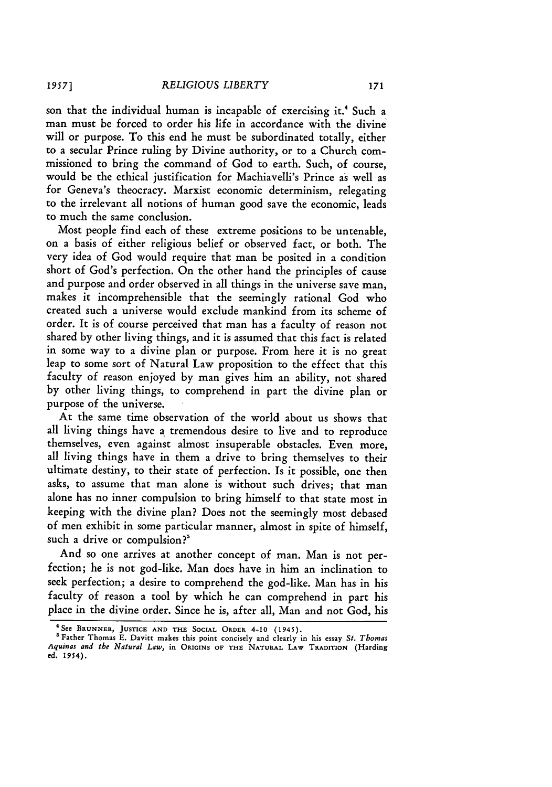son that the individual human is incapable of exercising it.' Such a man must be forced to order his life in accordance with the divine will or purpose. To this end he must be subordinated totally, either to a secular Prince ruling by Divine authority, or to a Church commissioned to bring the command of God to earth. Such, of course, would be the ethical justification for Machiavelli's Prince as well as for Geneva's theocracy. Marxist economic determinism, relegating to the irrelevant all notions of human good save the economic, leads to much the same conclusion.

Most people find each of these extreme positions to be untenable, on a basis of either religious belief or observed fact, or both. The very idea of God would require that man be posited in a condition short of God's perfection. On the other hand the principles of cause and purpose and order observed in all things in the universe save man, makes it incomprehensible that the seemingly rational God who created such a universe would exclude mankind from its scheme of order. It is of course perceived that man has a faculty of reason not shared by other living things, and it is assumed that this fact is related in some way to a divine plan or purpose. From here it is no great leap to some sort of Natural Law proposition to the effect that this faculty of reason enjoyed by man gives him an ability, not shared by other living things, to comprehend in part the divine plan or purpose of the universe.

At the same time observation of the world about us shows that all living things have a tremendous desire to live and to reproduce themselves, even against almost insuperable obstacles. Even more, all living things have in them a drive to bring themselves to their ultimate destiny, to their state of perfection. Is it possible, one then asks, to assume that man alone is without such drives; that man alone has no inner compulsion to bring himself to that state most in keeping with the divine plan? Does not the seemingly most debased of men exhibit in some particular manner, almost in spite of himself, such a drive or compulsion?<sup>5</sup>

And so one arrives at another concept of man. Man is not perfection; he is not god-like. Man does have in him an inclination to seek perfection; a desire to comprehend the god-like. Man has in his faculty of reason a tool by which he can comprehend in part his place in the divine order. Since he is, after all, Man and not God, his

<sup>4</sup> See BRUNNER, **JUSTICE AND THE SOCIAL ORDER** 4-10 (1945). **'** Father Thomas E. Davitt makes this point concisely and clearly in his essay *St. Thomas Aquinas and the Natural Law,* in **ORIGINS OF THE NATURAL LAW TRADITION** (Harding **ed.** 1954).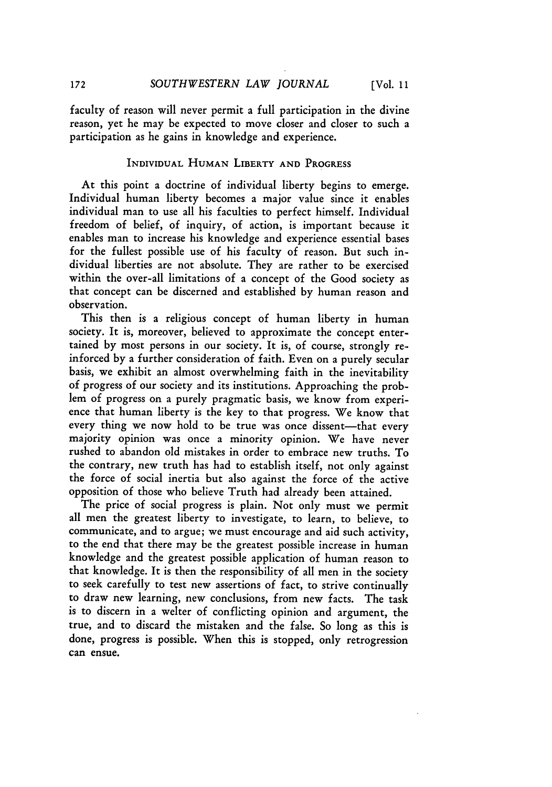faculty of reason will never permit a full participation in the divine reason, yet he may be expected to move closer and closer to such a participation as he gains in knowledge and experience.

#### **INDIVIDUAL HUMAN LIBERTY AND** PROGRESS

At this point a doctrine of individual liberty begins to emerge. Individual human liberty becomes a major value since it enables individual man to use all his faculties to perfect himself. Individual freedom of belief, of inquiry, of action, is important because it enables man to increase his knowledge and experience essential bases for the fullest possible use of his faculty of reason. But such individual liberties are not absolute. They are rather to be exercised within the over-all limitations of a concept of the Good society as that concept can be discerned and established by human reason and observation.

This then is a religious concept of human liberty in human society. It is, moreover, believed to approximate the concept entertained by most persons in our society. It is, of course, strongly reinforced by a further consideration of faith. Even on a purely secular basis, we exhibit an almost overwhelming faith in the inevitability of progress of our society and its institutions. Approaching the problem of progress on a purely pragmatic basis, we know from experience that human liberty is the key to that progress. We know that every thing we now hold to be true was once dissent-that every majority opinion was once a minority opinion. We have never rushed to abandon old mistakes in order to embrace new truths. To the contrary, new truth has had to establish itself, not only against the force of social inertia but also against the force of the active opposition of those who believe Truth had already been attained.

The price of social progress is plain. Not only must we permit all men the greatest liberty to investigate, to learn, to believe, to communicate, and to argue; we must encourage and aid such activity, to the end that there may be the greatest possible increase in human knowledge and the greatest possible application of human reason to that knowledge. It is then the responsibility of all men in the society to seek carefully to test new assertions of fact, to strive continually to draw new learning, new conclusions, from new facts. The task is to discern in a welter of conflicting opinion and argument, the true, and to discard the mistaken and the false. So long as this is done, progress is possible. When this is stopped, only retrogression **can ensue.**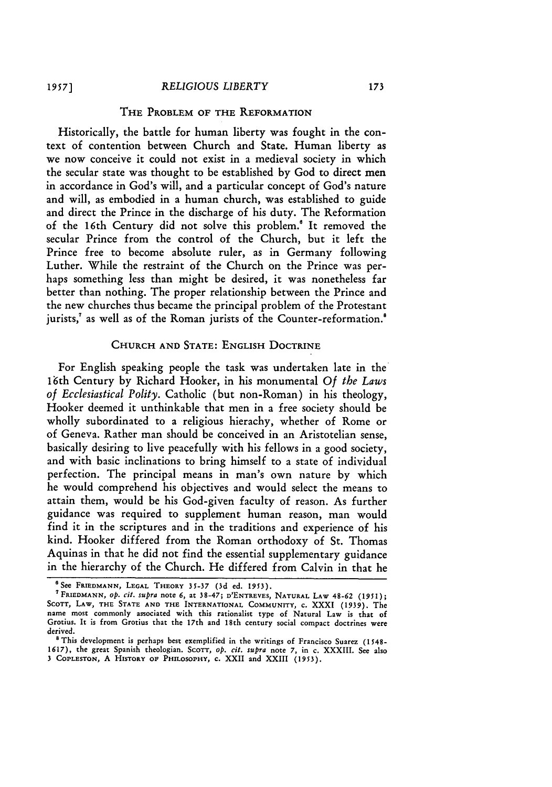#### *RELIGIOUS LIBERTY*

## THE PROBLEM OF THE REFORMATION

Historically, the battle for human liberty was fought in the context of contention between Church and State. Human liberty as we now conceive it could not exist in a medieval society in which the secular state was thought to be established by God to direct men in accordance in God's will, and a particular concept of God's nature and will, as embodied in a human church, was established to guide and direct the Prince in the discharge of his duty. The Reformation of the 16th Century did not solve this problem.' It removed the secular Prince from the control of the Church, but it left the Prince free to become absolute ruler, as in Germany following Luther. While the restraint of the Church on the Prince was perhaps something less than might be desired, it was nonetheless far better than nothing. The proper relationship between the Prince and the new churches thus became the principal problem of the Protestant jurists,<sup>7</sup> as well as of the Roman jurists of the Counter-reformation.<sup>8</sup>

## **CHURCH AND STATE:** ENGLISH DOCTRINE

For English speaking people the task was undertaken late in the 16th Century by Richard Hooker, in his monumental *Of the Laws of Ecclesiastical Polity.* Catholic (but non-Roman) in his theology, Hooker deemed it unthinkable that men in a free society should be wholly subordinated to a religious hierachy, whether of Rome or of Geneva. Rather man should be conceived in an Aristotelian sense, basically desiring to live peacefully with his fellows in a good society, and with basic inclinations to bring himself to a state of individual perfection. The principal means in man's own nature by which he would comprehend his objectives and would select the means to attain them, would be his God-given faculty of reason. As further guidance was required to supplement human reason, man would find it in the scriptures and in the traditions and experience of his kind. Hooker differed from the Roman orthodoxy of St. Thomas Aquinas in that he did not find the essential supplementary guidance in the hierarchy of the Church. He differed from Calvin in that he

**<sup>6</sup>See FRIEDMANN, LEGAL** THEORY 35-37 **(3d** ed. **1953).**

**<sup>7</sup> FRIEDMANN,** *OP. cit.* supra note 6, at **38-47; D'ENTREVES, NATURAL** LAW 48-62 **(1951);** SCOTT, LAW, THE STATE AND THE INTERNATIONAL COMMUNITY, c. XXXI (1939). The name most commonly associated with this rationalist type of Natural Law is that of Grotius. It is from Grotius that the 17th and 18th century social compact doctrines were derived.

<sup>&</sup>lt;sup>8</sup> This development is perhaps best exemplified in the writings of Francisco Suarez (1548-1617), the great Spanish theologian. **SCOTT,** *op.* cit. *suPra* note **7,** in c. XXXIII. See also 3 **COPLESTON, A HISTORY OF PHILOSOPHY, C.** XXII and XXIII **(1953).**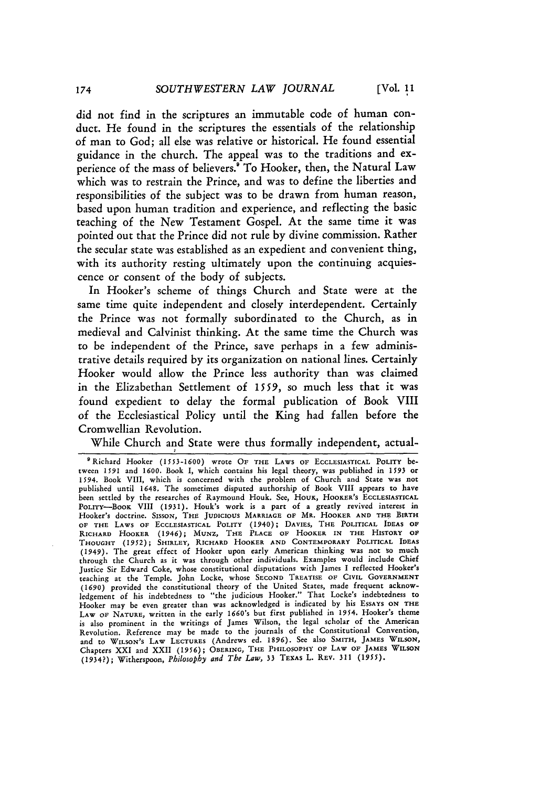did not find in the scriptures an immutable code of human conduct. He found in the scriptures the essentials of the relationship of man to God; all else was relative or historical. He found essential guidance in the church. The appeal was to the traditions and experience of the mass of believers.<sup>9</sup> To Hooker, then, the Natural Law which was to restrain the Prince, and was to define the liberties and responsibilities of the subject was to be drawn from human reason, based upon human tradition and experience, and reflecting the basic teaching of the New Testament Gospel. At the same time it was pointed out that the Prince did not rule by divine commission. Rather the secular state was established as an expedient and convenient thing, with its authority resting ultimately upon the continuing acquiescence or consent of the body of subjects.

In Hooker's scheme of things Church and State were at the same time quite independent and closely interdependent. Certainly the Prince was not formally subordinated to the Church, as in medieval and Calvinist thinking. At the same time the Church was to be independent of the Prince, save perhaps in a few administrative details required by its organization on national lines. Certainly Hooker would allow the Prince less authority than was claimed in the Elizabethan Settlement of **1559,** so much less that it was found expedient to delay the formal publication of Book VIII of the Ecclesiastical Policy until the King had fallen before the Cromwellian Revolution.

While Church and State were thus formally independent, actual-

<sup>&</sup>quot;Richard Hooker **(1553-1600)** wrote **OF** THE LAWS OF **ECCLESIASTICAL** POLITY **be**tween **1591** and **1600.** Book **I,** which contains his legal theory, was published in 1593 or **1594.** Book VIII, which is concerned with the problem of Church and State was **not** published until 1648. The sometimes disputed authorship of Book VIII appears to have been settled by the researches of Raymound Houk. See, HOUK, HOOKER'S ECCLESIASTICAL POLITY-BooK VIII (1931). Houk's work is a part of a greatly **revived** interest in Hooker's doctrine. SISSON, THE **JUDICIOUS** MARRIAGE **OF** MR. HOOKER **AND THE BIRTH OF THE** LAWS OF **ECCLESIASTICAL** POLITY (1940); DAVIES, **THE** POLITICAL **IDEAS OF** RICHARD HOOKER (1946); MUNZ, THE **PLACE OF** HOOKER IN THE HISTORY **OF THOUGHT** (1952); SHIRLEY, RICHARD HOOKER **AND** CONTEMPORARY POLITICAL **IDEAS (1949).** The great effect of Hooker upon early American thinking was not so much through the Church **as** it was through other individuals. Examples would include Chief Justice **Sir** Edward Coke, whose constitutional disputations with James **I reflected** Hooker's teaching at the Temple. John Locke, whose **SECOND** TREATISE OF CIVIL GOVERNMENT (1690) provided the constitutional theory **of** the United States, made frequent acknowledgement of his indebtedness to "the judicious Hooker." That Locke's indebtedness to Hooker may be even **greater** than was acknowledged **is** indicated **by** his **ESSAYS ON** THE LAW OF **NATURE,** written in the **early** 1660's but first published in 1954. Hooker's theme **is** also prominent in the writings of James Wilson, the legal scholar of the American Revolution. **Reference** may be made to the journals of the Constitutional Convention, and to WILSON'S LAW LECTURES (Andrews **ed. 1896).** See **also** SMITH, **JAMES** WILSON, Chapters XXI and XXII **(1956);** OBERING, THE PHILOSOPHY **OF** LAW **OF JAMES** WILSON (1934?); Witherspoon, *Philosophy and The Law,* 33 TEXAS L. REV. 311 *(1955).*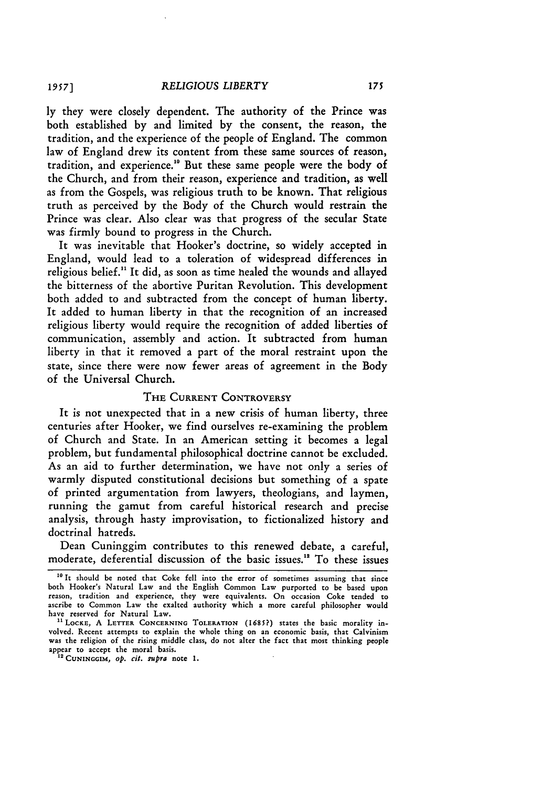**ly** they were closely dependent. The authority of the Prince was both established by and limited by the consent, the reason, the tradition, and the experience of the people of England. The common law of England drew its content from these same sources **of** reason, tradition, and experience.<sup>10</sup> But these same people were the body of the Church, and from their reason, experience and tradition, as well as from the Gospels, was religious truth to be known. That religious truth as perceived by the Body of the Church would restrain the Prince was clear. Also clear was that progress of the secular State was firmly bound to progress in the Church.

It was inevitable that Hooker's doctrine, so widely accepted in England, would lead to a toleration of widespread differences in religious belief.<sup>11</sup> It did, as soon as time healed the wounds and allayed the bitterness of the abortive Puritan Revolution. This development both added to and subtracted from the concept of human liberty. It added to human liberty in that the recognition of an increased religious liberty would require the recognition of added liberties of communication, assembly and action. It subtracted from human liberty in that it removed a part of the moral restraint upon the state, since there were now fewer areas of agreement in the Body of the Universal Church.

## **THE CURRENT CONTROVERSY**

It is not unexpected that in a new crisis of human liberty, three centuries after Hooker, we find ourselves re-examining the problem of Church and State. In an American setting it becomes a legal problem, but fundamental philosophical doctrine cannot be excluded. As an aid to further determination, we have not only a series of warmly disputed constitutional decisions but something of a spate of printed argumentation from lawyers, theologians, and laymen, running the gamut from careful historical research and precise analysis, through hasty improvisation, to fictionalized history and doctrinal hatreds.

Dean Cuninggim contributes to this renewed debate, a careful, moderate, deferential discussion of the basic issues." To these issues

**<sup>10</sup>** It should be noted that Coke fell into the error of sometimes assuming that since both Hooker's Natural Law and the English Common Law purported to be based upon reason, tradition and experience, they were equivalents. On occasion Coke tended to ascribe to Common Law the exalted authority which a more careful philosopher would have reserved for Natural Law.

<sup>&</sup>lt;sup>11</sup> LOCKE, A LETTER CONCERNING TOLERATION (1685?) states the basic morality in-<br>volved. Recent attempts to explain the whole thing on an economic basis, that Calvinism was the religion of the rising middle class, do not alter the fact that most thinking people appear to accept the moral basis.

**<sup>&#</sup>x27;" CUNINGGIM,** *Op. cit. supra* note **1.**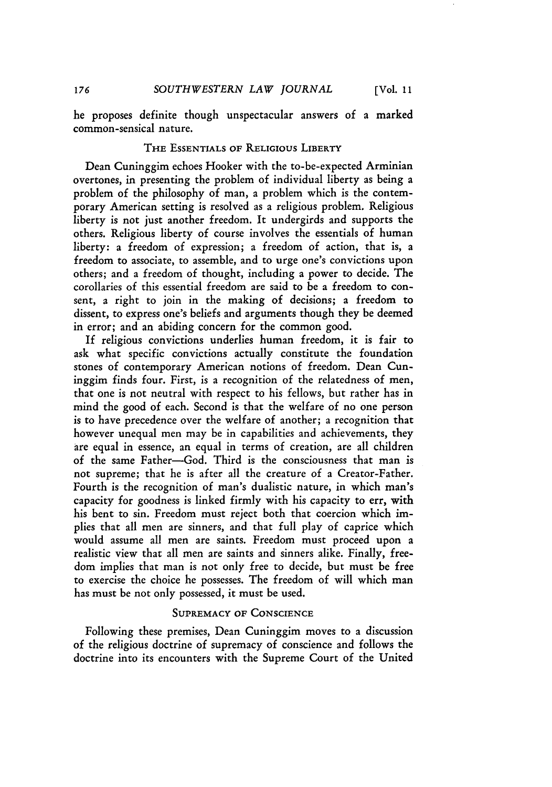he proposes definite though unspectacular answers of a marked common-sensical nature.

#### **THE** ESSENTIALS OF RELIGIOUS LIBERTY

Dean Cuninggim echoes Hooker with the to-be-expected Arminian overtones, in presenting the problem of individual liberty as being a problem of the philosophy of man, a problem which is the contemporary American setting is resolved as a religious problem. Religious liberty is not just another freedom. It undergirds and supports the others. Religious liberty of course involves the essentials of human liberty: a freedom of expression; a freedom of action, that is, a freedom to associate, to assemble, and to urge one's convictions upon others; and a freedom of thought, including a power to decide. The corollaries of this essential freedom are said to be a freedom to consent, a right to join in the making of decisions; a freedom to dissent, to express one's beliefs and arguments though they be deemed in error; and an abiding concern for the common good.

If religious convictions underlies human freedom, it is fair to ask what specific convictions actually constitute the foundation stones of contemporary American notions of freedom. Dean Cuninggim finds four. First, is a recognition of the relatedness **of** men, that one is not neutral with respect to his fellows, but rather has in mind the good of each. Second is that the welfare of no one person is to have precedence over the welfare of another; a recognition that however unequal men may be in capabilities and achievements, they are equal in essence, an equal in terms of creation, are all children of the same Father-God. Third is the consciousness that man is not supreme; that he is after all the creature of a Creator-Father. Fourth is the recognition of man's dualistic nature, in which man's capacity for goodness is linked firmly with his capacity to err, with his bent to sin. Freedom must reject both that coercion which implies that all men are sinners, and that full play of caprice which would assume all men are saints. Freedom must proceed upon a realistic view that all men are saints and sinners alike. Finally, freedom implies that man is not only free to decide, but must be free to exercise the choice he possesses. The freedom of will which man has must be not only possessed, it must be used.

#### **SUPREMACY** OF **CONSCIENCE**

Following these premises, Dean Cuninggim moves to a discussion of the religious doctrine of supremacy of conscience and follows the doctrine into its encounters with the Supreme Court of the United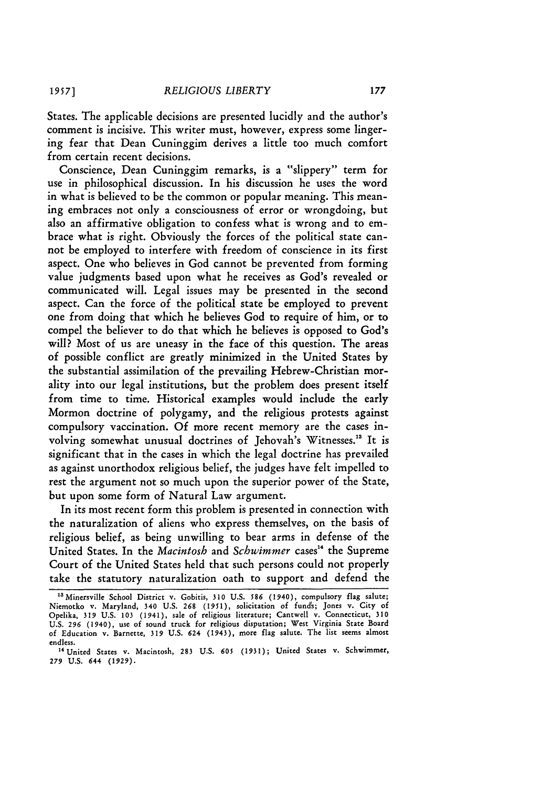States. The applicable decisions are presented lucidly and the author's comment is incisive. This writer must, however, express some lingering fear that Dean Cuninggim derives a little too much comfort from certain recent decisions.

Conscience, Dean Cuninggim remarks, is a "slippery" term for use in philosophical discussion. In his discussion he uses the word in what is believed to be the common or popular meaning. This meaning embraces not only a consciousness of error or wrongdoing, but also an affirmative obligation to confess what is wrong and to embrace what is right. Obviously the forces of the political state cannot be employed to interfere with freedom of conscience in its first aspect. One who believes in God cannot be prevented from forming value judgments based upon what he receives as God's revealed or communicated will. Legal issues may be presented in the second aspect. Can the force of the political state be employed to prevent one from doing that which he believes God to require of him, or to compel the believer to do that which he believes is opposed to God's will? Most of us are uneasy in the face of this question. The areas of possible conflict are greatly minimized in the United States by the substantial assimilation of the prevailing Hebrew-Christian morality into our legal institutions, but the problem does present itself from time to time. Historical examples would include the early Mormon doctrine of polygamy, and the religious protests against compulsory vaccination. Of more recent memory are the cases involving somewhat unusual doctrines of Jehovah's Witnesses." It is significant that in the cases in which the legal doctrine has prevailed as against unorthodox religious belief, the judges have felt impelled to rest the argument not so much upon the superior power of the State, but upon some form of Natural Law argument.

In its most recent form this problem is presented in connection with the naturalization of aliens who express themselves, on the basis of religious belief, as being unwilling to bear arms in defense of the United States. In the *Macintosh* and *Schwimmer* cases<sup>14</sup> the Supreme Court of the United States held that such persons could not properly take the statutory naturalization oath to support and defend the

<sup>55</sup> Minersville School District v. Gobitis, **310** U.S. **586** (1940), compulsory flag salute; Niemotko v. **Maryland, 340** U.S. **268** (1951), solicitation **of** funds; Jones v. City **of** Opelika, 319 U.S. **103** (1941), sale **of** religious literature; Cantwell v. Connecticut, **310 U.S. 296 (1940),** use **of** sound truck **for** religious disputation; West Virginia State **Board of** Education v. Barnette, **319 U.S. 624** (1943), **more** flag salute. The list seems almost endless.

<sup>&</sup>lt;sup>14</sup> United States v. Macintosh, 283 U.S. 605 (1931); United States v. Schwimmer, **279 U.S.** 644 (1929).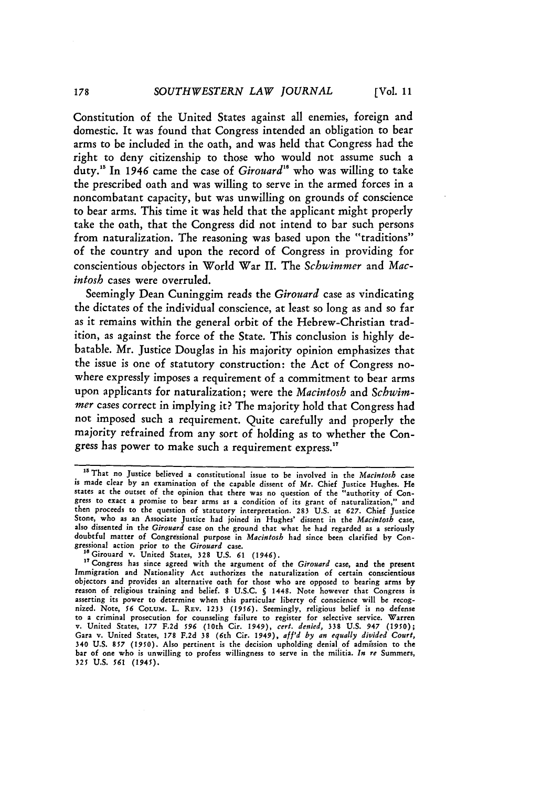Constitution of the United States against all enemies, foreign and domestic. It was found that Congress intended an obligation to bear arms to be included in the oath, and was **held** that Congress had the right to deny citizenship to those who would not assume such a duty.<sup>15</sup> In 1946 came the case of *Girouard*<sup>16</sup> who was willing to take the prescribed oath and was willing to serve in the armed forces in a noncombatant capacity, but was unwilling on grounds of conscience to bear arms. This time it was held that the applicant might properly take the oath, that the Congress did not intend to bar such persons from naturalization. The reasoning was based upon the "traditions" of the country and upon the record of Congress in providing for conscientious objectors in World War II. The *Sclwimmer* and *Macintosh* cases were overruled.

Seemingly Dean Cuninggim reads the *Girouard* case as vindicating the dictates of the individual conscience, at least so long as and so far as it remains within the general orbit of the Hebrew-Christian tradition, as against the force of the State. This conclusion is **highly de**batable. Mr. Justice Douglas in his majority opinion emphasizes that the issue is one of statutory construction: the Act of Congress nowhere expressly imposes a requirement of a commitment to bear arms upon applicants for naturalization; were the *Macintosh* and *Schwimmer* cases correct in implying it? The majority hold that Congress had not imposed such a requirement. Quite carefully and properly the majority refrained from any sort of holding as to whether the Congress has power to make such a requirement express."

**<sup>1</sup>** That no Justice believed a constitutional issue to be involved in the *Macintosh* case is made clear by an examination of the capable dissent of Mr. Chief Justice Hughes. He states at the outset of the opinion that there was no question of the "authority of Congress to exact a promise to bear arms as a condition of its grant of naturalization," and **then** proceeds to the question of statutory interpretation. 283 U.S. at **627.** Chief Justice Stone, who as an Associate Justice had joined in Hughes' dissent in the *Macintosh* case, also dissented in the *Girouard* case on the ground that what **he** had regarded as a seriously doubtful matter of Congressional purpose in *Macintosh* had since been clarified by Congressional action prior to the *Girouard* case.

<sup>&</sup>lt;sup>16</sup> Girouard v. United States, 328 U.S. 61 (1946).

**<sup>&</sup>quot;** Congress has since agreed with the argument of the *Girouard* case, and the present Immigration and Nationality Act authorizes the naturalization of certain conscientious objectors and provides an alternative oath for those who are opposed to bearing arms **by** reason of religious training and belief. 8 U.S.C. **§** 1448. Note however that Congress is asserting its power to determine when this particular liberty of conscience will **be** recognized. Note, 56 CoLUM. L. REV. 1233 (1956). Seemingly, religious belief is no defense<br>to a criminal prosecution for counseling failure to register for selective service. Warren<br>v. United States, 177 F.2d 596 (10th Cir. 194 Gara v. United States, 178 F.2d **38** (6th Cir. 1949), *aff'd by an equally divided Court,* 340 U.S. *857 (1950).* Also pertinent is the decision upholding denial of admission to the bar of one who is unwilling to profess willingness to serve in the miiitia. *In re* Summers, *325* **U.S.** *561 (1945).*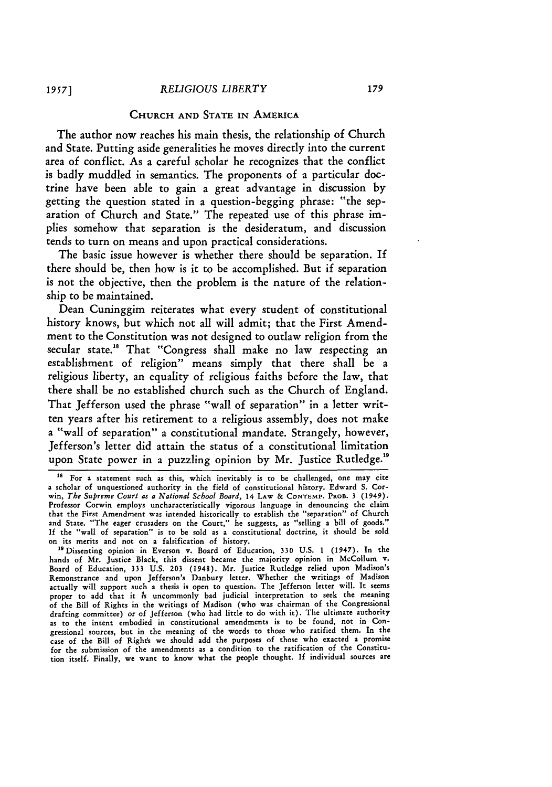## **CHURCH AND STATE IN AMERICA**

The author now reaches his main thesis, the relationship of Church and State. Putting aside generalities he moves directly into the current area of conflict. As a careful scholar he recognizes that the conflict is badly muddled in semantics. The proponents of a particular doctrine have been able to gain a great advantage in discussion **by** getting the question stated in a question-begging phrase: "the separation of Church and State." The repeated use of this phrase implies somehow that separation is the desideratum, and discussion tends to turn on means and upon practical considerations.

The basic issue however is whether there should be separation. If there should be, then how is it to be accomplished. But if separation is not the objective, then the problem is the nature of the relationship to be maintained.

Dean Cuninggim reiterates what every student of constitutional history knows, but which not all will admit; that the First Amendment to the Constitution was not designed to outlaw religion from the secular state."s That "Congress shall make no law respecting an establishment of religion" means simply that there shall be a religious liberty, an equality of religious faiths before the law, that there shall be no established church such as the Church of England. That Jefferson used the phrase "wall of separation" in a letter written years after his retirement to a religious assembly, does not make a "wall of separation" a constitutional mandate. Strangely, however, Jefferson's letter did attain the status of a constitutional limitation upon State power in a puzzling opinion **by** Mr. Justice Rutledge."

**<sup>&#</sup>x27;\$** For a statement such as this, which inevitably is to be challenged, one may cite a scholar of unquestioned authority in the field of constitutional history. Edward **S.** Corwin, *The Supreme Court as a National School Board,* 14 LAW **& CONTEMP.** PROB. **3** (1949). Professor Corwin employs uncharacteristically vigorous language in denouncing the claim that the First Amendment was intended historically to establish the "separation" of Church and State. "The eager crusaders on the Court," he suggests, as "selling a bill of goods." **If** the "wall of separation" is to be sold as a constitutional doctrine, it should be sold on its merits and not on a falsification of history.

<sup>&</sup>lt;sup>19</sup> Dissenting opinion in Everson v. Board of Education, 330 U.S. 1 (1947). In the hands of Mr. Justice Black, this dissent became the majority opinion in McCollum v. Board of Education, 333 **U.S. 203** (1948). Mr. Justice Rutledge relied upon Madison's Remonstrance and upon Jefferson's Danbury letter. Whether the writings of Madison actually will support such a thesis is open to question. The Jefferson letter will. It seems proper to add that it is uncommonly bad judicial interpretation to seek the meaning of the Bill of Rights in the writings of Madison (who was chairman of the Congressiona drafting committee) or of Jefferson (who had little to do with it). The ultimate authority as to the intent embodied in constitutional amendments is to be found, not in Congressional sources, but in the meaning of the words to those who ratified them. In the case of the Bill of Rights we should add the purposes of those who exacted a promise for the submission of the amendments as a condition to the ratification of the Constitution itself. Finally, we want to know what the people thought. If individual sources are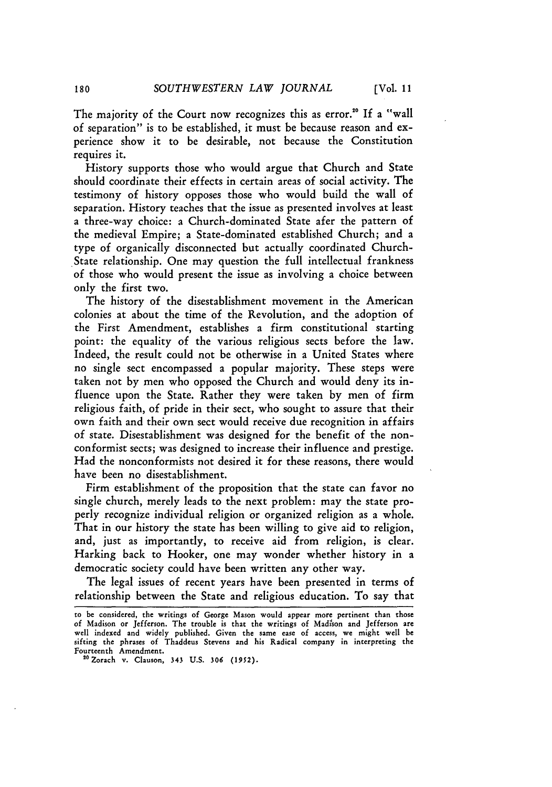The majority of the Court now recognizes this as error.<sup>20</sup> If a "wall of separation" is to be established, it must be because reason and experience show it to be desirable, not because the Constitution requires it.

History supports those who would argue that Church and State should coordinate their effects in certain areas of social activity. The testimony of history opposes those who would build the wall of separation. History teaches that the issue as presented involves at least a three-way choice: a Church-dominated State afer the pattern of the medieval Empire; a State-dominated established Church; and a type of organically disconnected but actually coordinated Church-State relationship. One may question the full intellectual frankness of those who would present the issue as involving a choice between only the first two.

The history of the disestablishment movement in the American colonies at about the time of the Revolution, and the adoption of the First Amendment, establishes a firm constitutional starting point: the equality of the various religious sects before the law. Indeed, the result could not be otherwise in a United States where no single sect encompassed a popular majority. These steps were taken not by men who opposed the Church and would deny its influence upon the State. Rather they were taken by men of firm religious faith, of pride in their sect, who sought to assure that their own faith and their own sect would receive due recognition in affairs of state. Disestablishment was designed for the benefit of the nonconformist sects; was designed to increase their influence and prestige. Had the nonconformists not desired it for these reasons, there would have been no disestablishment.

Firm establishment of the proposition that the state can favor no single church, merely leads to the next problem: may the state properly recognize individual religion or organized religion as a whole. That in our history the state has been willing to give aid to religion, and, just as importantly, to receive aid from religion, is clear. Harking back to Hooker, one may wonder whether history in a democratic society could have been written any other way.

The legal issues of recent years have been presented in terms of relationship between the State and religious education. To say that

to be considered, the writings of George Mason would appear more pertinent than those of Madison or Jefferson. The trouble is that the writings of Madison and Jefferson are well indexed and widely published. Given the same ease of access, we might well **be** sifting the phrases of Thaddeus Stevens and his Radical company in interpreting the Fourteenth Amendment.

<sup>&</sup>lt;sup>20</sup> Zorach v. Clauson, 343 U.S. 306 (1952).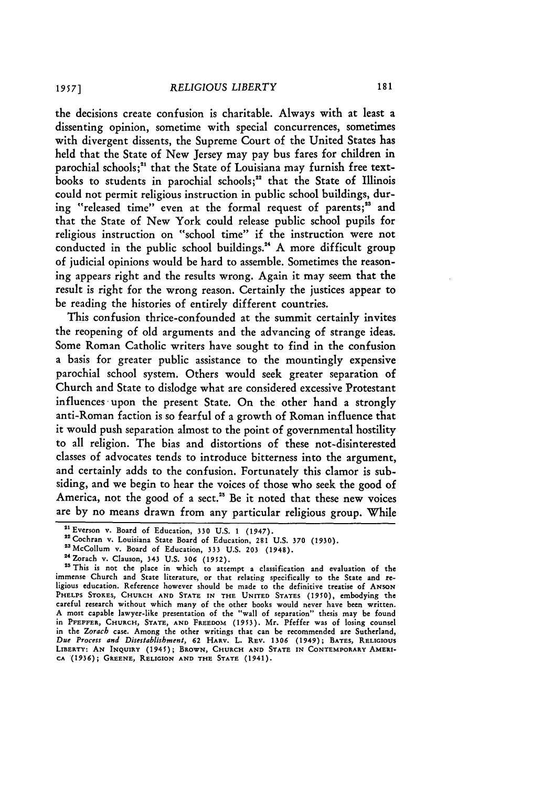the decisions create confusion is charitable. Always with at least a dissenting opinion, sometime with special concurrences, sometimes with divergent dissents, the Supreme Court of the United States has held that the State of New Jersey may pay bus fares for children in parochial schools;<sup>21</sup> that the State of Louisiana may furnish free textbooks to students in parochial schools;<sup>22</sup> that the State of Illinois could not permit religious instruction in public school buildings, during "released time" even at the formal request of parents;<sup>23</sup> and that the State of New York could release public school pupils for religious instruction on "school time" if the instruction were not conducted in the public school buildings."' A more difficult group of judicial opinions would be hard to assemble. Sometimes the reasoning appears right and the results wrong. Again it may seem that the result is right for the wrong reason. Certainly the justices appear to be reading the histories of entirely different countries.

This confusion thrice-confounded at the summit certainly invites the reopening of old arguments and the advancing of strange ideas. Some Roman Catholic writers have sought to find in the confusion a basis for greater public assistance to the mountingly expensive parochial school system. Others would seek greater separation of Church and State to dislodge what are considered excessive Protestant influences upon the present State. On the other hand a strongly anti-Roman faction is so fearful of a growth of Roman influence that it would push separation almost to the point of governmental hostility to all religion. The bias and distortions of these not-disinterested classes of advocates tends to introduce bitterness into the argument, and certainly adds to the confusion. Fortunately this clamor is subsiding, and we begin to hear the voices of those who seek the good of America, not the good of a sect.<sup>28</sup> Be it noted that these new voices are by no means drawn from any particular religious group. While

<sup>,</sup> Everson v. Board of Education, **330** U.S. 1 (1947). 2"Cochran **v,** Louisiana State Board of Education, 281 U.S. **370** (1930).

<sup>2</sup> <sup>3</sup> McCollum v. Board of Education, 333 U.S. **203** (1948). <sup>24</sup> Zorach v. Clauson, 343 **U.S.** 306 **(1952).**

 $^{25}$  This is not the place in which to attempt a classification and evaluation of the immense Church and State literature, or that relating specifically to the State and religious education. Reference however should be made to the definitive treatise of ANSON **PHELPS STOKES, CHURCH AND STATE IN THE UNITED STATES** (1950), embodying the careful research without which many of the other books would never have been written. **A** most capable lawyer-like presentation of the "wall of separation" thesis may be found in **PPEPFER, CHURCH, STATE, AND FREEDOM (1953).** Mr. Pfeffer was of losing counsel in the *Zorach* case. Among the other writings that can be recommended are Sutherland, *Due Process and Disestablishment,* **62 HARv.** L. **REV. 1306** (1949); **BATES,** RELIGIOUS **LIBERTY: AN INQUIRY** (1945); BROWN, **CHURCH AND STATE IN CONTEMPORARY** AMERI-**CA (1936); GREENE, RELIGION AND THE STATE (1941).**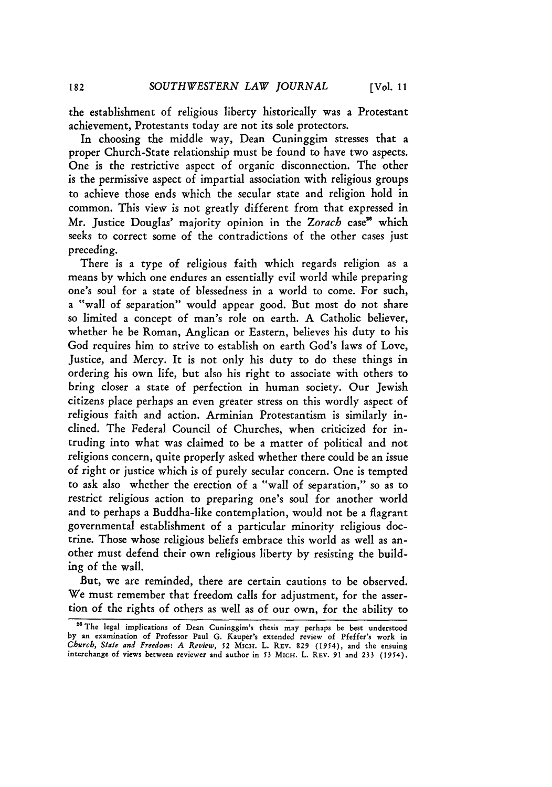the establishment of religious liberty historically was a Protestant achievement, Protestants today are not its sole protectors.

In choosing the middle way, Dean Cuninggim stresses that a proper Church-State relationship must be found to have two aspects. One is the restrictive aspect of organic disconnection. The other is the permissive aspect of impartial association with religious groups to achieve those ends which the secular state and religion hold in common. This view is not greatly different from that expressed in Mr. Justice Douglas' majority opinion in the *Zorach* case" which seeks to correct some of the contradictions of the other cases just preceding.

There is a type of religious faith which regards religion as a means by which one endures an essentially evil world while preparing one's soul for a state of blessedness in a world to come. For such, a "wall of separation" would appear good. But most do not share so limited a concept of man's role on earth. A Catholic believer, whether he be Roman, Anglican or Eastern, believes his duty to his God requires him to strive to establish on earth God's laws of Love, Justice, and Mercy. It is not only his duty to do these things in ordering his own life, but also his right to associate with others to bring closer a state of perfection in human society. Our Jewish citizens place perhaps an even greater stress on this wordly aspect of religious faith and action. Arminian Protestantism is similarly inclined. The Federal Council of Churches, when criticized for intruding into what was claimed to be a matter of political and not religions concern, quite properly asked whether there could be an issue of right or justice which is of purely secular concern. One is tempted to ask also whether the erection of a "wall of separation," so as to restrict religious action to preparing one's soul for another world and to perhaps a Buddha-like contemplation, would not be a flagrant governmental establishment of a particular minority religious doctrine. Those whose religious beliefs embrace this world as well as another must defend their own religious liberty by resisting the building of the wall.

But, we are reminded, there are certain cautions to be observed. We must remember that freedom calls for adjustment, for the assertion of the rights of others as well as of our own, for the ability to

**<sup>26</sup> The** legal implications **of Dean** Cuninggim's thesis **may perhaps** be best understood **by** an examination **of Professor Paul G.** Kauper's extended **review of Pfeffer's work** in *Church, State and Freedom: A Review, 52* MicH. **L. REV. 829** (1954), **and** the ensuing interchange **of** views between reviewer **and** author in *\$3* **MicH. L.** REV. **91 and 233** (1954).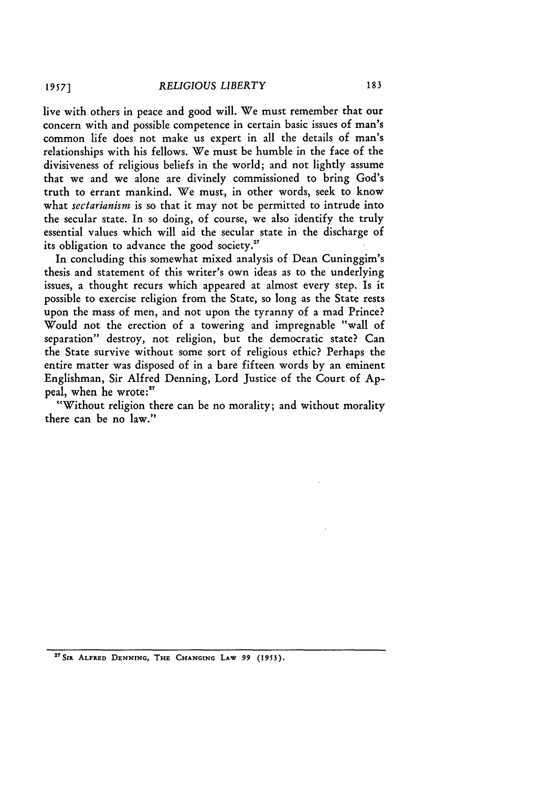live with others in peace and good will. We must remember that our concern with and possible competence in certain basic issues of man's common life does not make us expert in all the details of man's relationships with his fellows. We must be humble in the face of the divisiveness of religious beliefs in the world; and not lightly assume that we and we alone are divinely commissioned to bring God's truth to errant mankind. We must, in other words, seek to know what *sectarianism* is so that it may not be permitted to intrude into the secular state. In so doing, of course, we also identify the truly essential values which will aid the secular state in the discharge of its obligation to advance the good society.<sup>27</sup>

In concluding this somewhat mixed analysis of Dean Cuninggim's thesis and statement of this writer's own ideas as to the underlying issues, a thought recurs which appeared at almost every step. Is it possible to exercise religion from the State, so long as the State rests upon the mass of men, and not upon the tyranny of a mad Prince? Would not the erection of a towering and impregnable "wall of separation" destroy, not religion, but the democratic state? Can the State survive without some sort of religious ethic? Perhaps the entire matter was disposed of in a bare fifteen words by an eminent Englishman, Sir Alfred Denning, Lord Justice of the Court of Appeal, when he wrote:"

"Without religion there can be no morality; and without morality there can be no law."